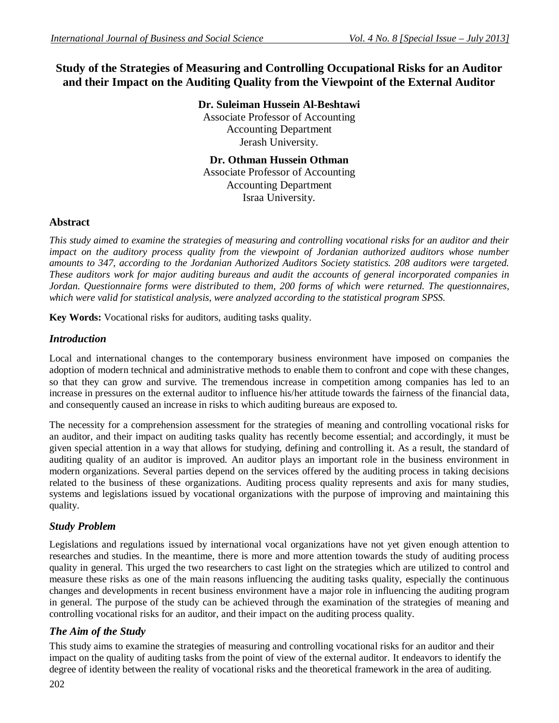# **Study of the Strategies of Measuring and Controlling Occupational Risks for an Auditor and their Impact on the Auditing Quality from the Viewpoint of the External Auditor**

**Dr. Suleiman Hussein Al-Beshtawi** Associate Professor of Accounting

Accounting Department Jerash University.

**Dr. Othman Hussein Othman** Associate Professor of Accounting Accounting Department Israa University.

### **Abstract**

*This study aimed to examine the strategies of measuring and controlling vocational risks for an auditor and their impact on the auditory process quality from the viewpoint of Jordanian authorized auditors whose number amounts to 347, according to the Jordanian Authorized Auditors Society statistics. 208 auditors were targeted. These auditors work for major auditing bureaus and audit the accounts of general incorporated companies in Jordan. Questionnaire forms were distributed to them, 200 forms of which were returned. The questionnaires, which were valid for statistical analysis, were analyzed according to the statistical program SPSS.*

**Key Words:** Vocational risks for auditors, auditing tasks quality.

## *Introduction*

Local and international changes to the contemporary business environment have imposed on companies the adoption of modern technical and administrative methods to enable them to confront and cope with these changes, so that they can grow and survive. The tremendous increase in competition among companies has led to an increase in pressures on the external auditor to influence his/her attitude towards the fairness of the financial data, and consequently caused an increase in risks to which auditing bureaus are exposed to.

The necessity for a comprehension assessment for the strategies of meaning and controlling vocational risks for an auditor, and their impact on auditing tasks quality has recently become essential; and accordingly, it must be given special attention in a way that allows for studying, defining and controlling it. As a result, the standard of auditing quality of an auditor is improved. An auditor plays an important role in the business environment in modern organizations. Several parties depend on the services offered by the auditing process in taking decisions related to the business of these organizations. Auditing process quality represents and axis for many studies, systems and legislations issued by vocational organizations with the purpose of improving and maintaining this quality.

# *Study Problem*

Legislations and regulations issued by international vocal organizations have not yet given enough attention to researches and studies. In the meantime, there is more and more attention towards the study of auditing process quality in general. This urged the two researchers to cast light on the strategies which are utilized to control and measure these risks as one of the main reasons influencing the auditing tasks quality, especially the continuous changes and developments in recent business environment have a major role in influencing the auditing program in general. The purpose of the study can be achieved through the examination of the strategies of meaning and controlling vocational risks for an auditor, and their impact on the auditing process quality.

# *The Aim of the Study*

This study aims to examine the strategies of measuring and controlling vocational risks for an auditor and their impact on the quality of auditing tasks from the point of view of the external auditor. It endeavors to identify the degree of identity between the reality of vocational risks and the theoretical framework in the area of auditing.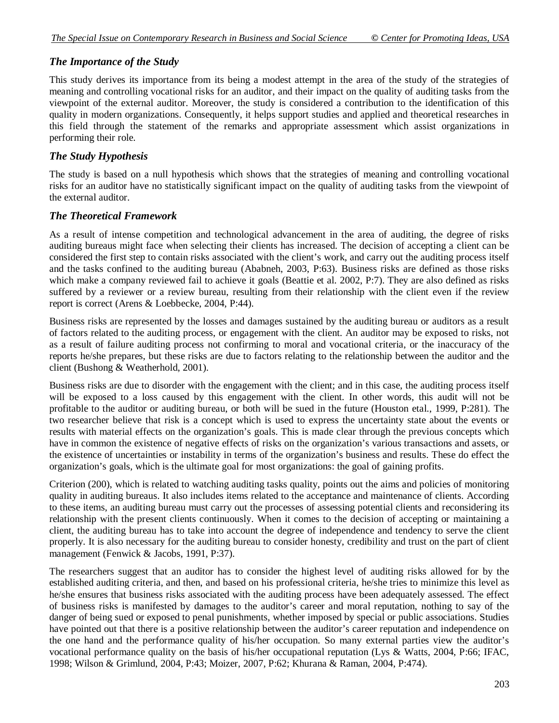### *The Importance of the Study*

This study derives its importance from its being a modest attempt in the area of the study of the strategies of meaning and controlling vocational risks for an auditor, and their impact on the quality of auditing tasks from the viewpoint of the external auditor. Moreover, the study is considered a contribution to the identification of this quality in modern organizations. Consequently, it helps support studies and applied and theoretical researches in this field through the statement of the remarks and appropriate assessment which assist organizations in performing their role.

### *The Study Hypothesis*

The study is based on a null hypothesis which shows that the strategies of meaning and controlling vocational risks for an auditor have no statistically significant impact on the quality of auditing tasks from the viewpoint of the external auditor.

### *The Theoretical Framework*

As a result of intense competition and technological advancement in the area of auditing, the degree of risks auditing bureaus might face when selecting their clients has increased. The decision of accepting a client can be considered the first step to contain risks associated with the client's work, and carry out the auditing process itself and the tasks confined to the auditing bureau (Ababneh, 2003, P:63). Business risks are defined as those risks which make a company reviewed fail to achieve it goals (Beattie et al. 2002, P:7). They are also defined as risks suffered by a reviewer or a review bureau, resulting from their relationship with the client even if the review report is correct (Arens & Loebbecke, 2004, P:44).

Business risks are represented by the losses and damages sustained by the auditing bureau or auditors as a result of factors related to the auditing process, or engagement with the client. An auditor may be exposed to risks, not as a result of failure auditing process not confirming to moral and vocational criteria, or the inaccuracy of the reports he/she prepares, but these risks are due to factors relating to the relationship between the auditor and the client (Bushong & Weatherhold, 2001).

Business risks are due to disorder with the engagement with the client; and in this case, the auditing process itself will be exposed to a loss caused by this engagement with the client. In other words, this audit will not be profitable to the auditor or auditing bureau, or both will be sued in the future (Houston etal., 1999, P:281). The two researcher believe that risk is a concept which is used to express the uncertainty state about the events or results with material effects on the organization's goals. This is made clear through the previous concepts which have in common the existence of negative effects of risks on the organization's various transactions and assets, or the existence of uncertainties or instability in terms of the organization's business and results. These do effect the organization's goals, which is the ultimate goal for most organizations: the goal of gaining profits.

Criterion (200), which is related to watching auditing tasks quality, points out the aims and policies of monitoring quality in auditing bureaus. It also includes items related to the acceptance and maintenance of clients. According to these items, an auditing bureau must carry out the processes of assessing potential clients and reconsidering its relationship with the present clients continuously. When it comes to the decision of accepting or maintaining a client, the auditing bureau has to take into account the degree of independence and tendency to serve the client properly. It is also necessary for the auditing bureau to consider honesty, credibility and trust on the part of client management (Fenwick & Jacobs, 1991, P:37).

The researchers suggest that an auditor has to consider the highest level of auditing risks allowed for by the established auditing criteria, and then, and based on his professional criteria, he/she tries to minimize this level as he/she ensures that business risks associated with the auditing process have been adequately assessed. The effect of business risks is manifested by damages to the auditor's career and moral reputation, nothing to say of the danger of being sued or exposed to penal punishments, whether imposed by special or public associations. Studies have pointed out that there is a positive relationship between the auditor's career reputation and independence on the one hand and the performance quality of his/her occupation. So many external parties view the auditor's vocational performance quality on the basis of his/her occupational reputation (Lys & Watts, 2004, P:66; IFAC, 1998; Wilson & Grimlund, 2004, P:43; Moizer, 2007, P:62; Khurana & Raman, 2004, P:474).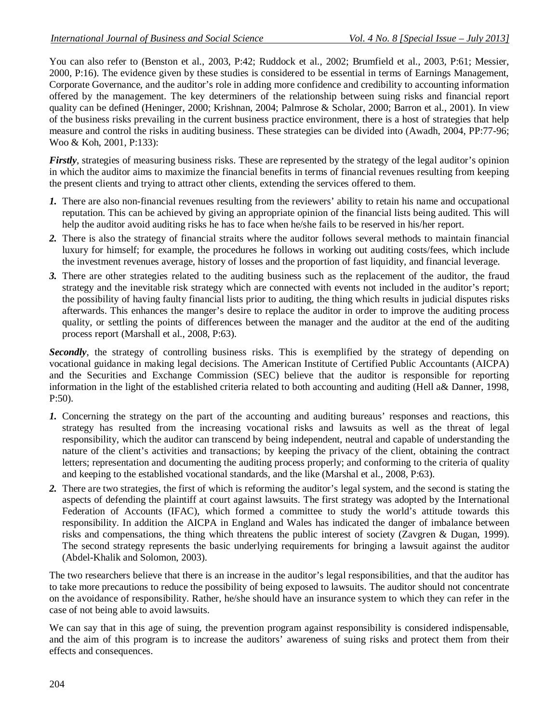You can also refer to (Benston et al., 2003, P:42; Ruddock et al., 2002; Brumfield et al., 2003, P:61; Messier, 2000, P:16). The evidence given by these studies is considered to be essential in terms of Earnings Management, Corporate Governance, and the auditor's role in adding more confidence and credibility to accounting information offered by the management. The key determiners of the relationship between suing risks and financial report quality can be defined (Heninger, 2000; Krishnan, 2004; Palmrose & Scholar, 2000; Barron et al., 2001). In view of the business risks prevailing in the current business practice environment, there is a host of strategies that help measure and control the risks in auditing business. These strategies can be divided into (Awadh, 2004, PP:77-96; Woo & Koh, 2001, P:133):

*Firstly*, strategies of measuring business risks. These are represented by the strategy of the legal auditor's opinion in which the auditor aims to maximize the financial benefits in terms of financial revenues resulting from keeping the present clients and trying to attract other clients, extending the services offered to them.

- *1.* There are also non-financial revenues resulting from the reviewers' ability to retain his name and occupational reputation. This can be achieved by giving an appropriate opinion of the financial lists being audited. This will help the auditor avoid auditing risks he has to face when he/she fails to be reserved in his/her report.
- *2.* There is also the strategy of financial straits where the auditor follows several methods to maintain financial luxury for himself; for example, the procedures he follows in working out auditing costs/fees, which include the investment revenues average, history of losses and the proportion of fast liquidity, and financial leverage.
- *3.* There are other strategies related to the auditing business such as the replacement of the auditor, the fraud strategy and the inevitable risk strategy which are connected with events not included in the auditor's report; the possibility of having faulty financial lists prior to auditing, the thing which results in judicial disputes risks afterwards. This enhances the manger's desire to replace the auditor in order to improve the auditing process quality, or settling the points of differences between the manager and the auditor at the end of the auditing process report (Marshall et al., 2008, P:63).

**Secondly**, the strategy of controlling business risks. This is exemplified by the strategy of depending on vocational guidance in making legal decisions. The American Institute of Certified Public Accountants (AICPA) and the Securities and Exchange Commission (SEC) believe that the auditor is responsible for reporting information in the light of the established criteria related to both accounting and auditing (Hell a& Danner, 1998, P:50).

- *1.* Concerning the strategy on the part of the accounting and auditing bureaus' responses and reactions, this strategy has resulted from the increasing vocational risks and lawsuits as well as the threat of legal responsibility, which the auditor can transcend by being independent, neutral and capable of understanding the nature of the client's activities and transactions; by keeping the privacy of the client, obtaining the contract letters; representation and documenting the auditing process properly; and conforming to the criteria of quality and keeping to the established vocational standards, and the like (Marshal et al., 2008, P:63).
- *2.* There are two strategies, the first of which is reforming the auditor's legal system, and the second is stating the aspects of defending the plaintiff at court against lawsuits. The first strategy was adopted by the International Federation of Accounts (IFAC), which formed a committee to study the world's attitude towards this responsibility. In addition the AICPA in England and Wales has indicated the danger of imbalance between risks and compensations, the thing which threatens the public interest of society (Zavgren & Dugan, 1999). The second strategy represents the basic underlying requirements for bringing a lawsuit against the auditor (Abdel-Khalik and Solomon, 2003).

The two researchers believe that there is an increase in the auditor's legal responsibilities, and that the auditor has to take more precautions to reduce the possibility of being exposed to lawsuits. The auditor should not concentrate on the avoidance of responsibility. Rather, he/she should have an insurance system to which they can refer in the case of not being able to avoid lawsuits.

We can say that in this age of suing, the prevention program against responsibility is considered indispensable, and the aim of this program is to increase the auditors' awareness of suing risks and protect them from their effects and consequences.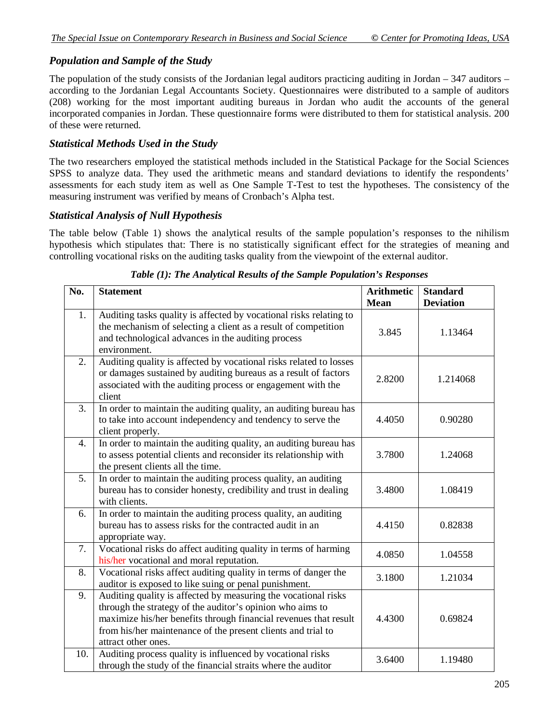## *Population and Sample of the Study*

The population of the study consists of the Jordanian legal auditors practicing auditing in Jordan  $-347$  auditors – according to the Jordanian Legal Accountants Society. Questionnaires were distributed to a sample of auditors (208) working for the most important auditing bureaus in Jordan who audit the accounts of the general incorporated companies in Jordan. These questionnaire forms were distributed to them for statistical analysis. 200 of these were returned.

### *Statistical Methods Used in the Study*

The two researchers employed the statistical methods included in the Statistical Package for the Social Sciences SPSS to analyze data. They used the arithmetic means and standard deviations to identify the respondents' assessments for each study item as well as One Sample T-Test to test the hypotheses. The consistency of the measuring instrument was verified by means of Cronbach's Alpha test.

#### *Statistical Analysis of Null Hypothesis*

The table below (Table 1) shows the analytical results of the sample population's responses to the nihilism hypothesis which stipulates that: There is no statistically significant effect for the strategies of meaning and controlling vocational risks on the auditing tasks quality from the viewpoint of the external auditor.

| No. | <b>Statement</b>                                                                                                                                                                                                                                                                       | <b>Arithmetic</b><br><b>Mean</b> | <b>Standard</b><br><b>Deviation</b> |
|-----|----------------------------------------------------------------------------------------------------------------------------------------------------------------------------------------------------------------------------------------------------------------------------------------|----------------------------------|-------------------------------------|
| 1.  | Auditing tasks quality is affected by vocational risks relating to<br>the mechanism of selecting a client as a result of competition<br>and technological advances in the auditing process<br>environment.                                                                             | 3.845                            | 1.13464                             |
| 2.  | Auditing quality is affected by vocational risks related to losses<br>or damages sustained by auditing bureaus as a result of factors<br>associated with the auditing process or engagement with the<br>client                                                                         | 2.8200                           | 1.214068                            |
| 3.  | In order to maintain the auditing quality, an auditing bureau has<br>to take into account independency and tendency to serve the<br>client properly.                                                                                                                                   | 4.4050                           | 0.90280                             |
| 4.  | In order to maintain the auditing quality, an auditing bureau has<br>to assess potential clients and reconsider its relationship with<br>the present clients all the time.                                                                                                             | 3.7800                           | 1.24068                             |
| 5.  | In order to maintain the auditing process quality, an auditing<br>bureau has to consider honesty, credibility and trust in dealing<br>with clients.                                                                                                                                    | 3.4800                           | 1.08419                             |
| 6.  | In order to maintain the auditing process quality, an auditing<br>bureau has to assess risks for the contracted audit in an<br>appropriate way.                                                                                                                                        | 4.4150                           | 0.82838                             |
| 7.  | Vocational risks do affect auditing quality in terms of harming<br>his/her vocational and moral reputation.                                                                                                                                                                            | 4.0850                           | 1.04558                             |
| 8.  | Vocational risks affect auditing quality in terms of danger the<br>auditor is exposed to like suing or penal punishment.                                                                                                                                                               | 3.1800                           | 1.21034                             |
| 9.  | Auditing quality is affected by measuring the vocational risks<br>through the strategy of the auditor's opinion who aims to<br>maximize his/her benefits through financial revenues that result<br>from his/her maintenance of the present clients and trial to<br>attract other ones. | 4.4300                           | 0.69824                             |
| 10. | Auditing process quality is influenced by vocational risks<br>through the study of the financial straits where the auditor                                                                                                                                                             | 3.6400                           | 1.19480                             |

#### *Table (1): The Analytical Results of the Sample Population's Responses*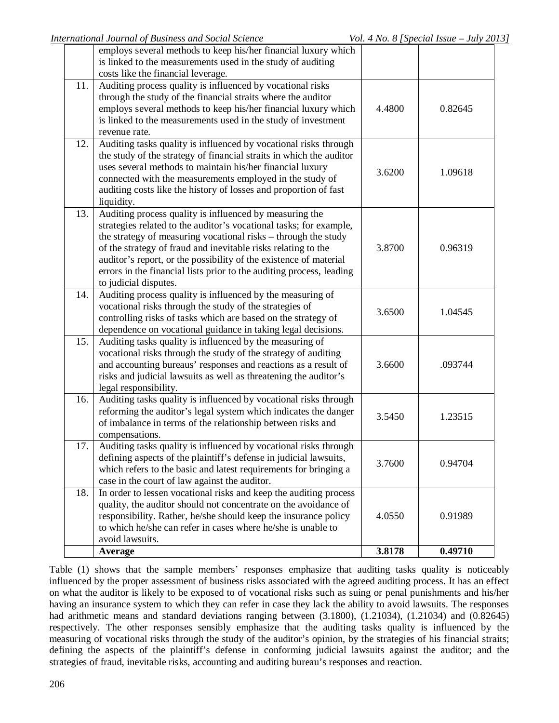|     | employs several methods to keep his/her financial luxury which       |        |         |
|-----|----------------------------------------------------------------------|--------|---------|
|     | is linked to the measurements used in the study of auditing          |        |         |
|     | costs like the financial leverage.                                   |        |         |
| 11. | Auditing process quality is influenced by vocational risks           |        |         |
|     | through the study of the financial straits where the auditor         |        |         |
|     | employs several methods to keep his/her financial luxury which       | 4.4800 | 0.82645 |
|     | is linked to the measurements used in the study of investment        |        |         |
|     | revenue rate.                                                        |        |         |
| 12. | Auditing tasks quality is influenced by vocational risks through     |        |         |
|     | the study of the strategy of financial straits in which the auditor  |        |         |
|     | uses several methods to maintain his/her financial luxury            |        |         |
|     | connected with the measurements employed in the study of             | 3.6200 | 1.09618 |
|     | auditing costs like the history of losses and proportion of fast     |        |         |
|     | liquidity.                                                           |        |         |
| 13. | Auditing process quality is influenced by measuring the              |        |         |
|     | strategies related to the auditor's vocational tasks; for example,   |        |         |
|     | the strategy of measuring vocational risks – through the study       |        |         |
|     | of the strategy of fraud and inevitable risks relating to the        | 3.8700 | 0.96319 |
|     | auditor's report, or the possibility of the existence of material    |        |         |
|     | errors in the financial lists prior to the auditing process, leading |        |         |
|     | to judicial disputes.                                                |        |         |
| 14. | Auditing process quality is influenced by the measuring of           |        |         |
|     | vocational risks through the study of the strategies of              |        |         |
|     | controlling risks of tasks which are based on the strategy of        | 3.6500 | 1.04545 |
|     | dependence on vocational guidance in taking legal decisions.         |        |         |
| 15. | Auditing tasks quality is influenced by the measuring of             |        |         |
|     | vocational risks through the study of the strategy of auditing       |        |         |
|     | and accounting bureaus' responses and reactions as a result of       | 3.6600 | .093744 |
|     | risks and judicial lawsuits as well as threatening the auditor's     |        |         |
|     | legal responsibility.                                                |        |         |
| 16. | Auditing tasks quality is influenced by vocational risks through     |        |         |
|     | reforming the auditor's legal system which indicates the danger      |        |         |
|     | of imbalance in terms of the relationship between risks and          | 3.5450 | 1.23515 |
|     | compensations.                                                       |        |         |
| 17. | Auditing tasks quality is influenced by vocational risks through     |        |         |
|     | defining aspects of the plaintiff's defense in judicial lawsuits,    |        |         |
|     | which refers to the basic and latest requirements for bringing a     | 3.7600 | 0.94704 |
|     | case in the court of law against the auditor.                        |        |         |
| 18. | In order to lessen vocational risks and keep the auditing process    |        |         |
|     | quality, the auditor should not concentrate on the avoidance of      |        |         |
|     | responsibility. Rather, he/she should keep the insurance policy      | 4.0550 | 0.91989 |
|     | to which he/she can refer in cases where he/she is unable to         |        |         |
|     | avoid lawsuits.                                                      |        |         |
|     | Average                                                              | 3.8178 | 0.49710 |

Table (1) shows that the sample members' responses emphasize that auditing tasks quality is noticeably influenced by the proper assessment of business risks associated with the agreed auditing process. It has an effect on what the auditor is likely to be exposed to of vocational risks such as suing or penal punishments and his/her having an insurance system to which they can refer in case they lack the ability to avoid lawsuits. The responses had arithmetic means and standard deviations ranging between (3.1800), (1.21034), (1.21034) and (0.82645) respectively. The other responses sensibly emphasize that the auditing tasks quality is influenced by the measuring of vocational risks through the study of the auditor's opinion, by the strategies of his financial straits; defining the aspects of the plaintiff's defense in conforming judicial lawsuits against the auditor; and the strategies of fraud, inevitable risks, accounting and auditing bureau's responses and reaction.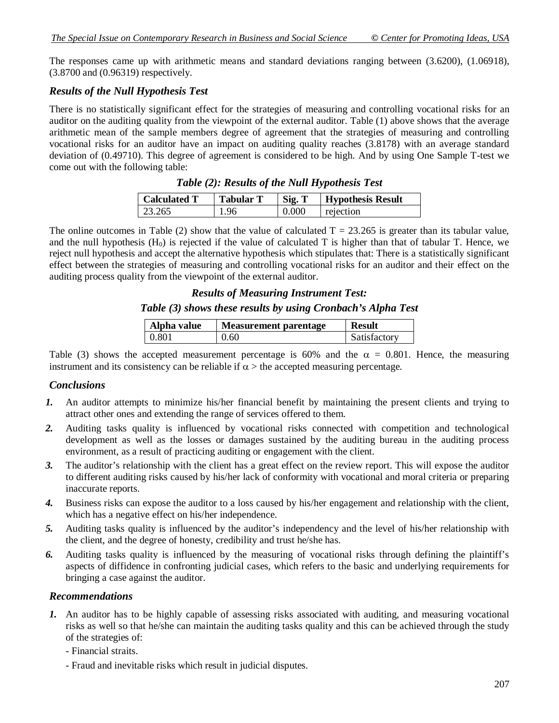The responses came up with arithmetic means and standard deviations ranging between (3.6200), (1.06918), (3.8700 and (0.96319) respectively.

#### *Results of the Null Hypothesis Test*

There is no statistically significant effect for the strategies of measuring and controlling vocational risks for an auditor on the auditing quality from the viewpoint of the external auditor. Table (1) above shows that the average arithmetic mean of the sample members degree of agreement that the strategies of measuring and controlling vocational risks for an auditor have an impact on auditing quality reaches (3.8178) with an average standard deviation of (0.49710). This degree of agreement is considered to be high. And by using One Sample T-test we come out with the following table:

| Calculated T | <b>Tabular T</b> | Sig. T | <b>Hypothesis Result</b> |
|--------------|------------------|--------|--------------------------|
| 23.265       | 1.96             | 0.000  | rejection                |

|  |  | Table (2): Results of the Null Hypothesis Test |
|--|--|------------------------------------------------|
|--|--|------------------------------------------------|

The online outcomes in Table (2) show that the value of calculated  $T = 23.265$  is greater than its tabular value, and the null hypothesis  $(H_0)$  is rejected if the value of calculated T is higher than that of tabular T. Hence, we reject null hypothesis and accept the alternative hypothesis which stipulates that: There is a statistically significant effect between the strategies of measuring and controlling vocational risks for an auditor and their effect on the auditing process quality from the viewpoint of the external auditor.

### *Results of Measuring Instrument Test: Table (3) shows these results by using Cronbach's Alpha Test*

| Alpha value | <b>Measurement parentage</b> | <b>Result</b> |
|-------------|------------------------------|---------------|
| 0.801       | 0.60                         | Satisfactory  |

Table (3) shows the accepted measurement percentage is 60% and the  $\alpha = 0.801$ . Hence, the measuring instrument and its consistency can be reliable if  $\alpha$  > the accepted measuring percentage.

#### *Conclusions*

- *1.* An auditor attempts to minimize his/her financial benefit by maintaining the present clients and trying to attract other ones and extending the range of services offered to them.
- 2. Auditing tasks quality is influenced by vocational risks connected with competition and technological development as well as the losses or damages sustained by the auditing bureau in the auditing process environment, as a result of practicing auditing or engagement with the client.
- *3.* The auditor's relationship with the client has a great effect on the review report. This will expose the auditor to different auditing risks caused by his/her lack of conformity with vocational and moral criteria or preparing inaccurate reports.
- *4.* Business risks can expose the auditor to a loss caused by his/her engagement and relationship with the client, which has a negative effect on his/her independence.
- *5.* Auditing tasks quality is influenced by the auditor's independency and the level of his/her relationship with the client, and the degree of honesty, credibility and trust he/she has.
- *6.* Auditing tasks quality is influenced by the measuring of vocational risks through defining the plaintiff's aspects of diffidence in confronting judicial cases, which refers to the basic and underlying requirements for bringing a case against the auditor.

#### *Recommendations*

- *1.* An auditor has to be highly capable of assessing risks associated with auditing, and measuring vocational risks as well so that he/she can maintain the auditing tasks quality and this can be achieved through the study of the strategies of:
	- Financial straits.
	- Fraud and inevitable risks which result in judicial disputes.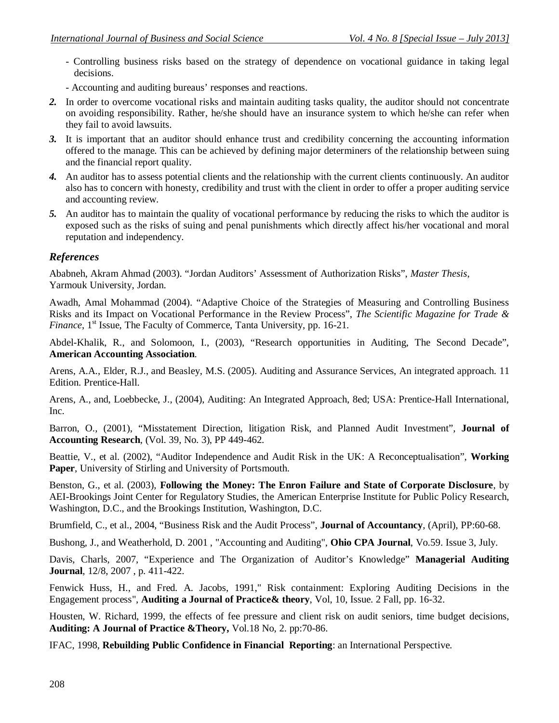- Controlling business risks based on the strategy of dependence on vocational guidance in taking legal decisions.
- Accounting and auditing bureaus' responses and reactions.
- *2.* In order to overcome vocational risks and maintain auditing tasks quality, the auditor should not concentrate on avoiding responsibility. Rather, he/she should have an insurance system to which he/she can refer when they fail to avoid lawsuits.
- *3.* It is important that an auditor should enhance trust and credibility concerning the accounting information offered to the manage. This can be achieved by defining major determiners of the relationship between suing and the financial report quality.
- *4.* An auditor has to assess potential clients and the relationship with the current clients continuously. An auditor also has to concern with honesty, credibility and trust with the client in order to offer a proper auditing service and accounting review.
- *5.* An auditor has to maintain the quality of vocational performance by reducing the risks to which the auditor is exposed such as the risks of suing and penal punishments which directly affect his/her vocational and moral reputation and independency.

### *References*

Ababneh, Akram Ahmad (2003). "Jordan Auditors' Assessment of Authorization Risks", *Master Thesis*, Yarmouk University, Jordan.

Awadh, Amal Mohammad (2004). "Adaptive Choice of the Strategies of Measuring and Controlling Business Risks and its Impact on Vocational Performance in the Review Process", *The Scientific Magazine for Trade & Finance*, 1<sup>st</sup> Issue, The Faculty of Commerce, Tanta University, pp. 16-21.

Abdel-Khalik, R., and Solomoon, I., (2003), "Research opportunities in Auditing, The Second Decade", **American Accounting Association**.

Arens, A.A., Elder, R.J., and Beasley, M.S. (2005). Auditing and Assurance Services, An integrated approach. 11 Edition. Prentice-Hall.

Arens, A., and, Loebbecke, J., (2004), Auditing: An Integrated Approach, 8ed; USA: Prentice-Hall International, Inc.

Barron, O., (2001), "Misstatement Direction, litigation Risk, and Planned Audit Investment", **Journal of Accounting Research**, (Vol. 39, No. 3), PP 449-462.

Beattie, V., et al. (2002), "Auditor Independence and Audit Risk in the UK: A Reconceptualisation", **Working Paper**, University of Stirling and University of Portsmouth.

Benston, G., et al. (2003), **Following the Money: The Enron Failure and State of Corporate Disclosure**, by AEI-Brookings Joint Center for Regulatory Studies, the American Enterprise Institute for Public Policy Research, Washington, D.C., and the Brookings Institution, Washington, D.C.

Brumfield, C., et al., 2004, "Business Risk and the Audit Process", **Journal of Accountancy**, (April), PP:60-68.

Bushong, J., and Weatherhold, D. 2001 , "Accounting and Auditing", **Ohio CPA Journal**, Vo.59. Issue 3, July.

Davis, Charls, 2007, "Experience and The Organization of Auditor's Knowledge" **Managerial Auditing Journal**, 12/8, 2007, p. 411-422.

Fenwick Huss, H., and Fred. A. Jacobs, 1991," Risk containment: Exploring Auditing Decisions in the Engagement process", **Auditing a Journal of Practice& theory**, Vol, 10, Issue. 2 Fall, pp. 16-32.

Housten, W. Richard, 1999, the effects of fee pressure and client risk on audit seniors, time budget decisions, **Auditing: A Journal of Practice &Theory,** Vol.18 No, 2. pp:70-86.

IFAC, 1998, **Rebuilding Public Confidence in Financial Reporting**: an International Perspective.